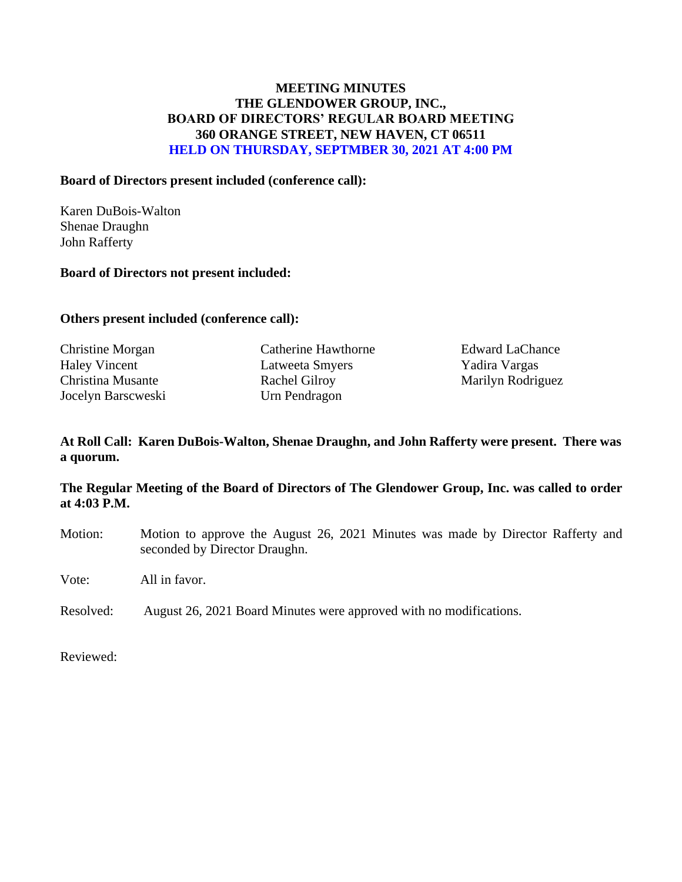# **MEETING MINUTES THE GLENDOWER GROUP, INC., BOARD OF DIRECTORS' REGULAR BOARD MEETING 360 ORANGE STREET, NEW HAVEN, CT 06511 HELD ON THURSDAY, SEPTMBER 30, 2021 AT 4:00 PM**

#### **Board of Directors present included (conference call):**

Karen DuBois-Walton Shenae Draughn John Rafferty

#### **Board of Directors not present included:**

#### **Others present included (conference call):**

Jocelyn Barscweski Urn Pendragon

Christine Morgan Catherine Hawthorne Edward LaChance Haley Vincent Latweeta Smyers Yadira Vargas Christina Musante Rachel Gilroy Narilyn Rodriguez

# **At Roll Call: Karen DuBois-Walton, Shenae Draughn, and John Rafferty were present. There was a quorum.**

## **The Regular Meeting of the Board of Directors of The Glendower Group, Inc. was called to order at 4:03 P.M.**

Motion: Motion to approve the August 26, 2021 Minutes was made by Director Rafferty and seconded by Director Draughn.

Vote: All in favor.

Resolved: August 26, 2021 Board Minutes were approved with no modifications.

Reviewed: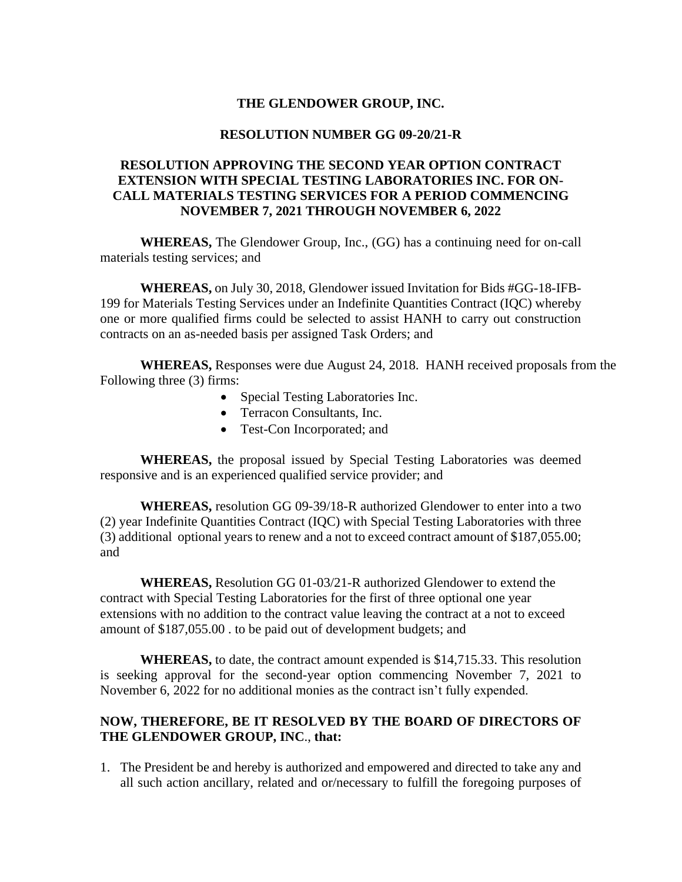## **THE GLENDOWER GROUP, INC.**

#### **RESOLUTION NUMBER GG 09-20/21-R**

# **RESOLUTION APPROVING THE SECOND YEAR OPTION CONTRACT EXTENSION WITH SPECIAL TESTING LABORATORIES INC. FOR ON-CALL MATERIALS TESTING SERVICES FOR A PERIOD COMMENCING NOVEMBER 7, 2021 THROUGH NOVEMBER 6, 2022**

**WHEREAS,** The Glendower Group, Inc., (GG) has a continuing need for on-call materials testing services; and

**WHEREAS,** on July 30, 2018, Glendower issued Invitation for Bids #GG-18-IFB-199 for Materials Testing Services under an Indefinite Quantities Contract (IQC) whereby one or more qualified firms could be selected to assist HANH to carry out construction contracts on an as-needed basis per assigned Task Orders; and

**WHEREAS,** Responses were due August 24, 2018. HANH received proposals from the Following three (3) firms:

- Special Testing Laboratories Inc.
- Terracon Consultants, Inc.
- Test-Con Incorporated; and

**WHEREAS,** the proposal issued by Special Testing Laboratories was deemed responsive and is an experienced qualified service provider; and

**WHEREAS,** resolution GG 09-39/18-R authorized Glendower to enter into a two (2) year Indefinite Quantities Contract (IQC) with Special Testing Laboratories with three (3) additional optional years to renew and a not to exceed contract amount of \$187,055.00; and

**WHEREAS,** Resolution GG 01-03/21-R authorized Glendower to extend the contract with Special Testing Laboratories for the first of three optional one year extensions with no addition to the contract value leaving the contract at a not to exceed amount of \$187,055.00 . to be paid out of development budgets; and

**WHEREAS,** to date, the contract amount expended is \$14,715.33. This resolution is seeking approval for the second-year option commencing November 7, 2021 to November 6, 2022 for no additional monies as the contract isn't fully expended.

## **NOW, THEREFORE, BE IT RESOLVED BY THE BOARD OF DIRECTORS OF THE GLENDOWER GROUP, INC**., **that:**

1. The President be and hereby is authorized and empowered and directed to take any and all such action ancillary, related and or/necessary to fulfill the foregoing purposes of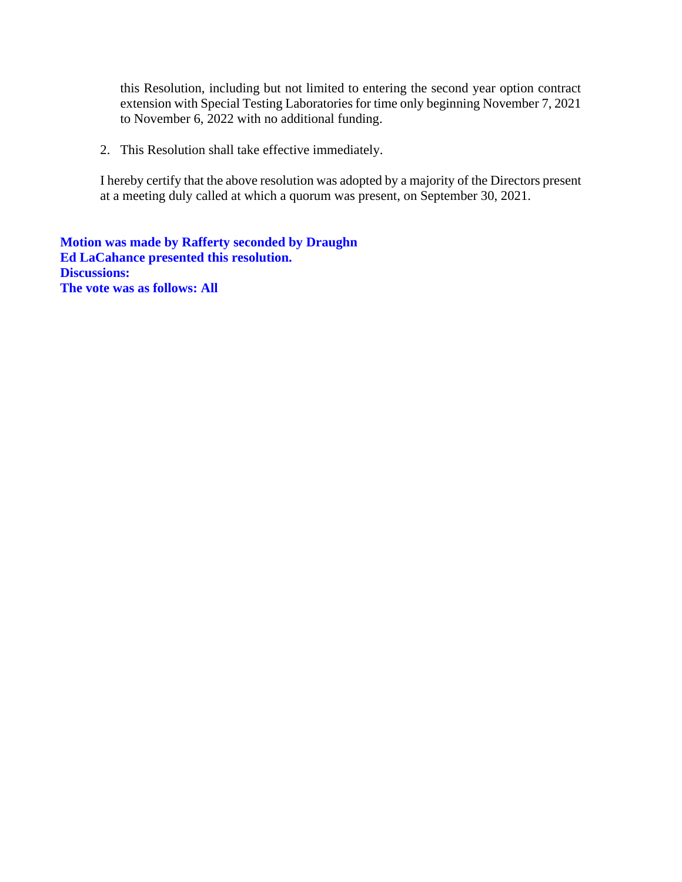this Resolution, including but not limited to entering the second year option contract extension with Special Testing Laboratories for time only beginning November 7, 2021 to November 6, 2022 with no additional funding.

2. This Resolution shall take effective immediately.

I hereby certify that the above resolution was adopted by a majority of the Directors present at a meeting duly called at which a quorum was present, on September 30, 2021.

**Motion was made by Rafferty seconded by Draughn Ed LaCahance presented this resolution. Discussions: The vote was as follows: All**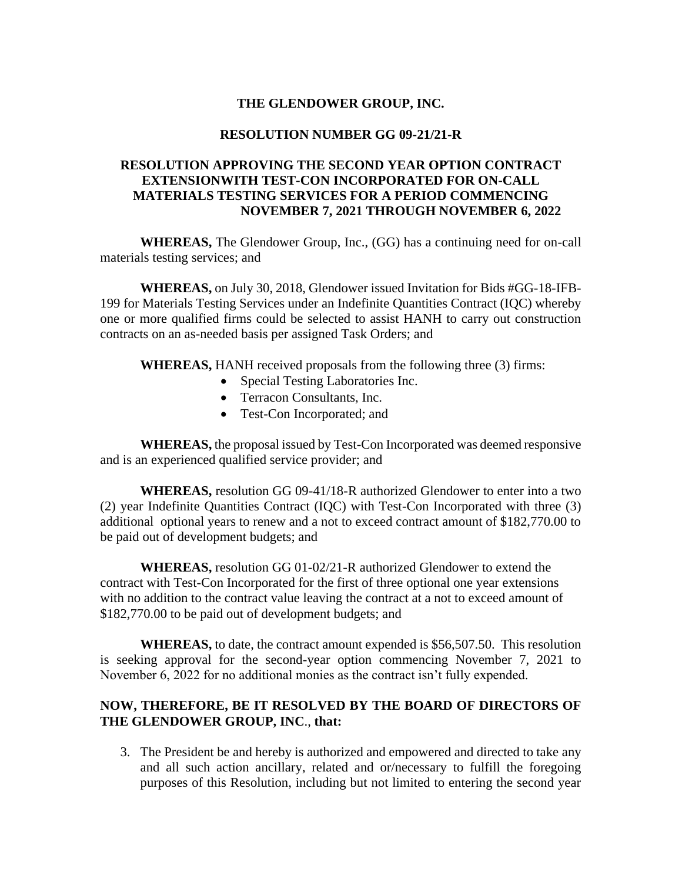## **THE GLENDOWER GROUP, INC.**

#### **RESOLUTION NUMBER GG 09-21/21-R**

# **RESOLUTION APPROVING THE SECOND YEAR OPTION CONTRACT EXTENSIONWITH TEST-CON INCORPORATED FOR ON-CALL MATERIALS TESTING SERVICES FOR A PERIOD COMMENCING NOVEMBER 7, 2021 THROUGH NOVEMBER 6, 2022**

**WHEREAS,** The Glendower Group, Inc., (GG) has a continuing need for on-call materials testing services; and

**WHEREAS,** on July 30, 2018, Glendower issued Invitation for Bids #GG-18-IFB-199 for Materials Testing Services under an Indefinite Quantities Contract (IQC) whereby one or more qualified firms could be selected to assist HANH to carry out construction contracts on an as-needed basis per assigned Task Orders; and

**WHEREAS,** HANH received proposals from the following three (3) firms:

- Special Testing Laboratories Inc.
- Terracon Consultants, Inc.
- Test-Con Incorporated; and

**WHEREAS,** the proposal issued by Test-Con Incorporated was deemed responsive and is an experienced qualified service provider; and

**WHEREAS,** resolution GG 09-41/18-R authorized Glendower to enter into a two (2) year Indefinite Quantities Contract (IQC) with Test-Con Incorporated with three (3) additional optional years to renew and a not to exceed contract amount of \$182,770.00 to be paid out of development budgets; and

**WHEREAS,** resolution GG 01-02/21-R authorized Glendower to extend the contract with Test-Con Incorporated for the first of three optional one year extensions with no addition to the contract value leaving the contract at a not to exceed amount of \$182,770.00 to be paid out of development budgets; and

**WHEREAS,** to date, the contract amount expended is \$56,507.50. This resolution is seeking approval for the second-year option commencing November 7, 2021 to November 6, 2022 for no additional monies as the contract isn't fully expended.

# **NOW, THEREFORE, BE IT RESOLVED BY THE BOARD OF DIRECTORS OF THE GLENDOWER GROUP, INC**., **that:**

3. The President be and hereby is authorized and empowered and directed to take any and all such action ancillary, related and or/necessary to fulfill the foregoing purposes of this Resolution, including but not limited to entering the second year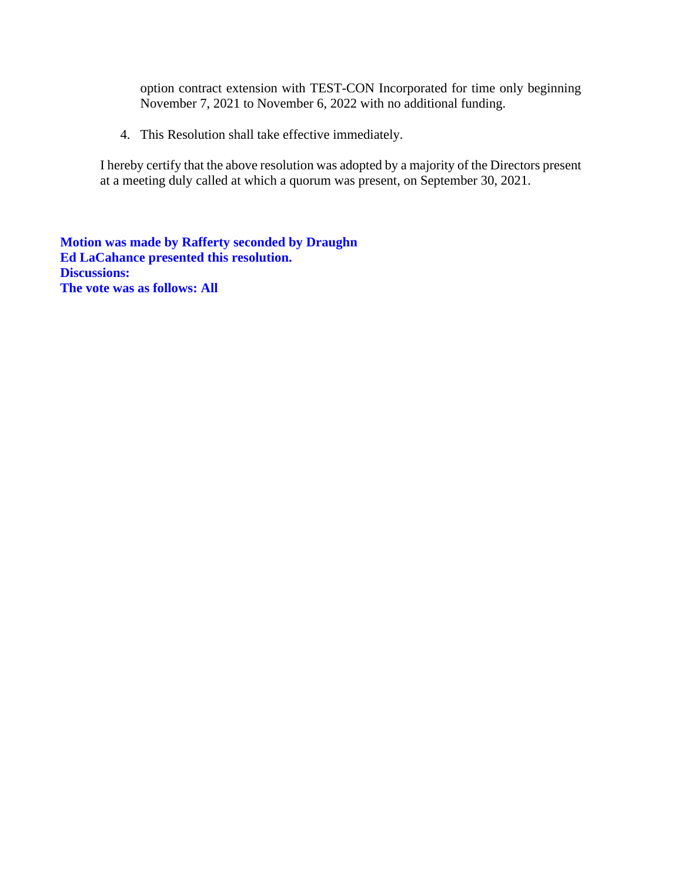option contract extension with TEST-CON Incorporated for time only beginning November 7, 2021 to November 6, 2022 with no additional funding.

4. This Resolution shall take effective immediately.

I hereby certify that the above resolution was adopted by a majority of the Directors present at a meeting duly called at which a quorum was present, on September 30, 2021.

**Motion was made by Rafferty seconded by Draughn Ed LaCahance presented this resolution. Discussions: The vote was as follows: All**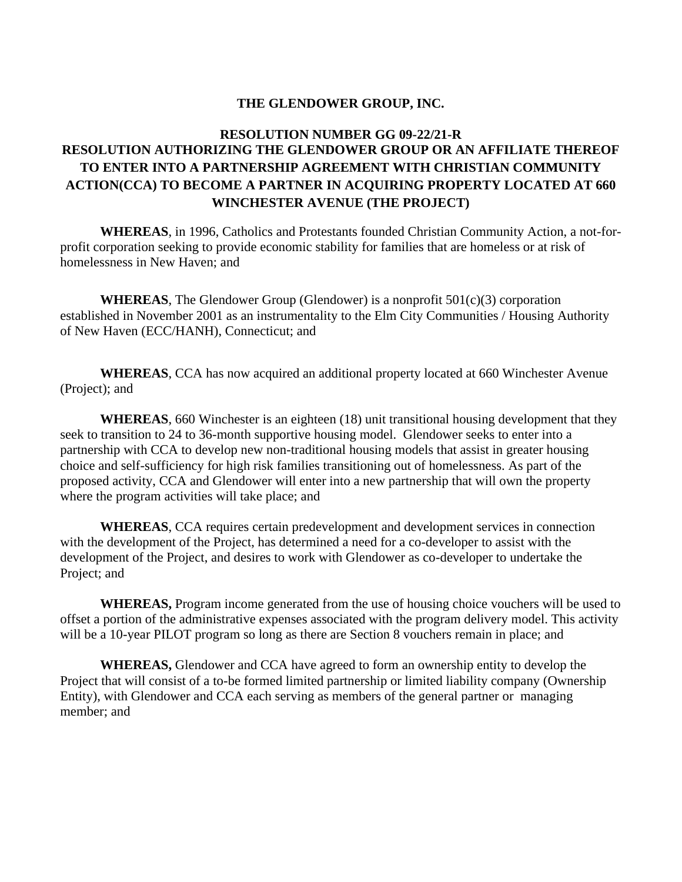## **THE GLENDOWER GROUP, INC.**

# **RESOLUTION NUMBER GG 09-22/21-R RESOLUTION AUTHORIZING THE GLENDOWER GROUP OR AN AFFILIATE THEREOF TO ENTER INTO A PARTNERSHIP AGREEMENT WITH CHRISTIAN COMMUNITY ACTION(CCA) TO BECOME A PARTNER IN ACQUIRING PROPERTY LOCATED AT 660 WINCHESTER AVENUE (THE PROJECT)**

**WHEREAS**, in 1996, Catholics and Protestants founded Christian Community Action, a not-forprofit corporation seeking to provide economic stability for families that are homeless or at risk of homelessness in New Haven; and

**WHEREAS**, The Glendower Group (Glendower) is a nonprofit 501(c)(3) corporation established in November 2001 as an instrumentality to the Elm City Communities / Housing Authority of New Haven (ECC/HANH), Connecticut; and

**WHEREAS**, CCA has now acquired an additional property located at 660 Winchester Avenue (Project); and

**WHEREAS**, 660 Winchester is an eighteen (18) unit transitional housing development that they seek to transition to 24 to 36-month supportive housing model. Glendower seeks to enter into a partnership with CCA to develop new non-traditional housing models that assist in greater housing choice and self-sufficiency for high risk families transitioning out of homelessness. As part of the proposed activity, CCA and Glendower will enter into a new partnership that will own the property where the program activities will take place; and

**WHEREAS**, CCA requires certain predevelopment and development services in connection with the development of the Project, has determined a need for a co-developer to assist with the development of the Project, and desires to work with Glendower as co-developer to undertake the Project; and

**WHEREAS,** Program income generated from the use of housing choice vouchers will be used to offset a portion of the administrative expenses associated with the program delivery model. This activity will be a 10-year PILOT program so long as there are Section 8 vouchers remain in place; and

**WHEREAS,** Glendower and CCA have agreed to form an ownership entity to develop the Project that will consist of a to-be formed limited partnership or limited liability company (Ownership Entity), with Glendower and CCA each serving as members of the general partner or managing member; and